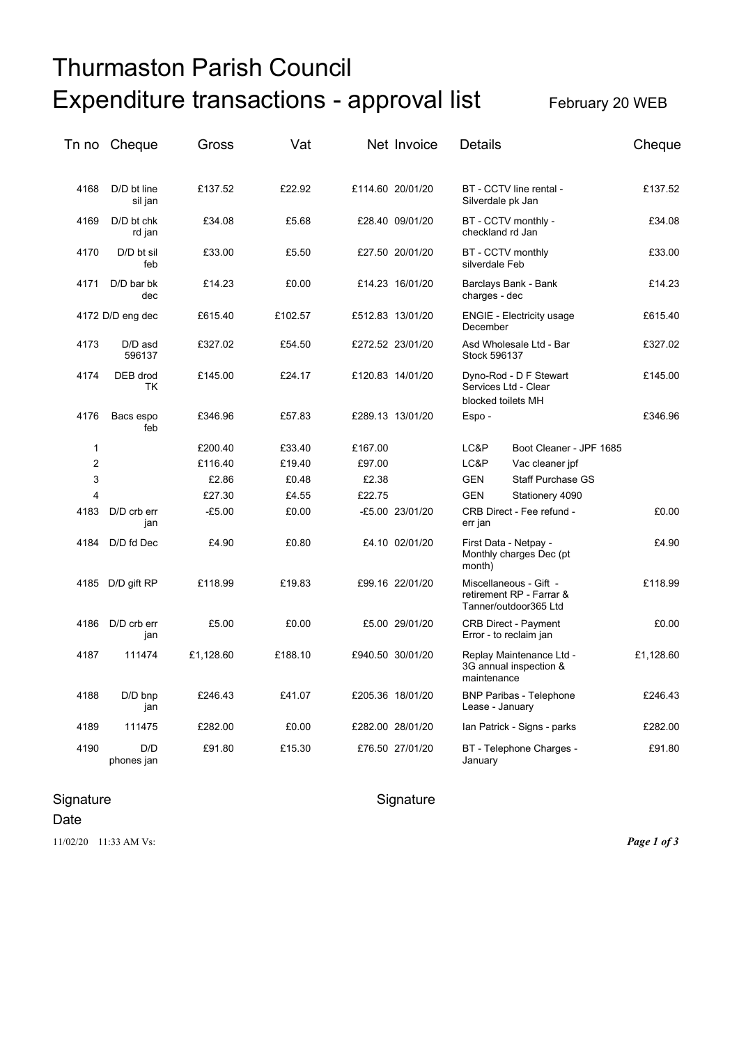# Thurmaston Parish Council Expenditure transactions - approval list February 20 WEB

| Tn no          | Cheque                 | Gross     | Vat     |         | Net Invoice      | <b>Details</b>                                                              | Cheque    |
|----------------|------------------------|-----------|---------|---------|------------------|-----------------------------------------------------------------------------|-----------|
| 4168           | D/D bt line<br>sil jan | £137.52   | £22.92  |         | £114.60 20/01/20 | BT - CCTV line rental -<br>Silverdale pk Jan                                | £137.52   |
| 4169           | D/D bt chk<br>rd jan   | £34.08    | £5.68   |         | £28.40 09/01/20  | BT - CCTV monthly -<br>checkland rd Jan                                     | £34.08    |
| 4170           | D/D bt sil<br>feb      | £33.00    | £5.50   |         | £27.50 20/01/20  | BT - CCTV monthly<br>silverdale Feb                                         | £33.00    |
| 4171           | D/D bar bk<br>dec      | £14.23    | £0.00   |         | £14.23 16/01/20  | Barclays Bank - Bank<br>charges - dec                                       | £14.23    |
|                | 4172 D/D eng dec       | £615.40   | £102.57 |         | £512.83 13/01/20 | <b>ENGIE - Electricity usage</b><br>December                                | £615.40   |
| 4173           | D/D asd<br>596137      | £327.02   | £54.50  |         | £272.52 23/01/20 | Asd Wholesale Ltd - Bar<br>Stock 596137                                     | £327.02   |
| 4174           | DEB drod<br>TK         | £145.00   | £24.17  |         | £120.83 14/01/20 | Dyno-Rod - D F Stewart<br>Services Ltd - Clear<br>blocked toilets MH        | £145.00   |
| 4176           | Bacs espo<br>feb       | £346.96   | £57.83  |         | £289.13 13/01/20 | Espo-                                                                       | £346.96   |
| 1              |                        | £200.40   | £33.40  | £167.00 |                  | Boot Cleaner - JPF 1685<br>LC&P                                             |           |
| $\overline{2}$ |                        | £116.40   | £19.40  | £97.00  |                  | LC&P<br>Vac cleaner jpf                                                     |           |
| 3              |                        | £2.86     | £0.48   | £2.38   |                  | <b>GEN</b><br><b>Staff Purchase GS</b>                                      |           |
| 4              |                        | £27.30    | £4.55   | £22.75  |                  | <b>GEN</b><br>Stationery 4090                                               |           |
| 4183           | D/D crb err<br>jan     | $-£5.00$  | £0.00   |         | -£5.00 23/01/20  | CRB Direct - Fee refund -<br>err jan                                        | £0.00     |
| 4184           | D/D fd Dec             | £4.90     | £0.80   |         | £4.10 02/01/20   | First Data - Netpay -<br>Monthly charges Dec (pt<br>month)                  | £4.90     |
|                | 4185 D/D gift RP       | £118.99   | £19.83  |         | £99.16 22/01/20  | Miscellaneous - Gift -<br>retirement RP - Farrar &<br>Tanner/outdoor365 Ltd | £118.99   |
| 4186           | D/D crb err<br>jan     | £5.00     | £0.00   |         | £5.00 29/01/20   | <b>CRB Direct - Payment</b><br>Error - to reclaim jan                       | £0.00     |
| 4187           | 111474                 | £1,128.60 | £188.10 |         | £940.50 30/01/20 | Replay Maintenance Ltd -<br>3G annual inspection &<br>maintenance           | £1,128.60 |
| 4188           | $D/D$ bnp<br>jan       | £246.43   | £41.07  |         | £205.36 18/01/20 | <b>BNP Paribas - Telephone</b><br>Lease - January                           | £246.43   |
| 4189           | 111475                 | £282.00   | £0.00   |         | £282.00 28/01/20 | Ian Patrick - Signs - parks                                                 | £282.00   |
| 4190           | D/D<br>phones jan      | £91.80    | £15.30  |         | £76.50 27/01/20  | BT - Telephone Charges -<br>January                                         | £91.80    |

## Signature Signature Signature Signature

### Date

11/02/20 11:33 AM Vs: *Page 1 of 3*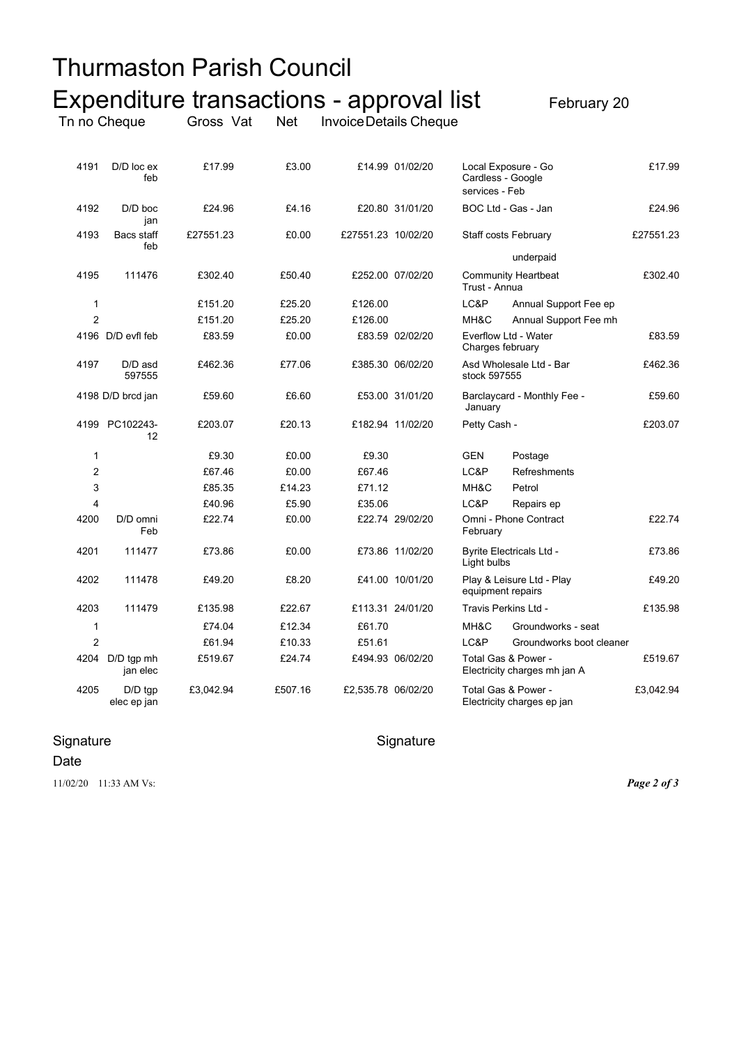|      |                          | Thurmaston Parish Council                |            |                        |                  |                                     |                                                     |           |
|------|--------------------------|------------------------------------------|------------|------------------------|------------------|-------------------------------------|-----------------------------------------------------|-----------|
|      |                          | Expenditure transactions - approval list |            |                        |                  |                                     | February 20                                         |           |
|      | Tn no Cheque             | Gross Vat                                | <b>Net</b> | Invoice Details Cheque |                  |                                     |                                                     |           |
| 4191 | $D/D$ $loc ex$<br>feb    | £17.99                                   | £3.00      |                        | £14.99 01/02/20  | Cardless - Google<br>services - Feb | Local Exposure - Go                                 | £17.99    |
| 4192 | D/D boc<br>jan           | £24.96                                   | £4.16      |                        | £20.80 31/01/20  |                                     | BOC Ltd - Gas - Jan                                 | £24.96    |
| 4193 | Bacs staff<br>feb        | £27551.23                                | £0.00      | £27551.23 10/02/20     |                  |                                     | <b>Staff costs February</b>                         | £27551.23 |
| 4195 | 111476                   | £302.40                                  | £50.40     |                        | £252.00 07/02/20 | Trust - Annua                       | underpaid<br><b>Community Heartbeat</b>             | £302.40   |
| 1    |                          | £151.20                                  | £25.20     | £126.00                |                  | LC&P                                | Annual Support Fee ep                               |           |
| 2    |                          | £151.20                                  | £25.20     | £126.00                |                  | MH&C                                | Annual Support Fee mh                               |           |
|      | 4196 D/D evfl feb        | £83.59                                   | £0.00      |                        | £83.59 02/02/20  | Charges february                    | Everflow Ltd - Water                                | £83.59    |
| 4197 | D/D asd<br>597555        | £462.36                                  | £77.06     |                        | £385.30 06/02/20 | stock 597555                        | Asd Wholesale Ltd - Bar                             | £462.36   |
|      | 4198 D/D brcd jan        | £59.60                                   | £6.60      |                        | £53.00 31/01/20  | January                             | Barclaycard - Monthly Fee -                         | £59.60    |
|      | 4199 PC102243-<br>12     | £203.07                                  | £20.13     |                        | £182.94 11/02/20 | Petty Cash -                        |                                                     | £203.07   |
| 1    |                          | £9.30                                    | £0.00      | £9.30                  |                  | GEN                                 | Postage                                             |           |
| 2    |                          | £67.46                                   | £0.00      | £67.46                 |                  | LC&P                                | Refreshments                                        |           |
| 3    |                          | £85.35                                   | £14.23     | £71.12                 |                  | MH&C                                | Petrol                                              |           |
| 4    |                          | £40.96                                   | £5.90      | £35.06                 |                  | LC&P                                | Repairs ep                                          |           |
| 4200 | D/D omni<br>Feb          | £22.74                                   | £0.00      |                        | £22.74 29/02/20  | February                            | Omni - Phone Contract                               | £22.74    |
| 4201 | 111477                   | £73.86                                   | £0.00      |                        | £73.86 11/02/20  | Light bulbs                         | <b>Byrite Electricals Ltd -</b>                     | £73.86    |
| 4202 | 111478                   | £49.20                                   | £8.20      |                        | £41.00 10/01/20  | equipment repairs                   | Play & Leisure Ltd - Play                           | £49.20    |
| 4203 | 111479                   | £135.98                                  | £22.67     |                        | £113.31 24/01/20 |                                     | Travis Perkins Ltd -                                | £135.98   |
| 1    |                          | £74.04                                   | £12.34     | £61.70                 |                  | MH&C                                | Groundworks - seat                                  |           |
| 2    |                          | £61.94                                   | £10.33     | £51.61                 |                  | LC&P                                | Groundworks boot cleaner                            |           |
| 4204 | D/D tgp mh<br>jan elec   | £519.67                                  | £24.74     |                        | £494.93 06/02/20 |                                     | Total Gas & Power -<br>Electricity charges mh jan A | £519.67   |
| 4205 | $D/D$ tgp<br>elec ep jan | £3,042.94                                | £507.16    | £2,535.78 06/02/20     |                  |                                     | Total Gas & Power -<br>Electricity charges ep jan   | £3,042.94 |

# Signature Signature Signature Signature

Date

11/02/20 11:33 AM Vs: *Page 2 of 3*